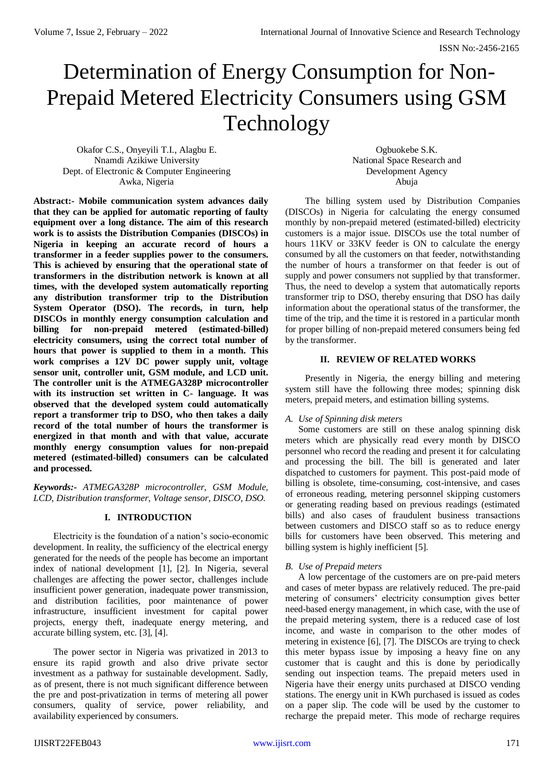# Determination of Energy Consumption for Non-Prepaid Metered Electricity Consumers using GSM Technology

Okafor C.S., Onyeyili T.I., Alagbu E. Nnamdi Azikiwe University Dept. of Electronic & Computer Engineering Awka, Nigeria

Ogbuokebe S.K. National Space Research and Development Agency Abuja

**Abstract:- Mobile communication system advances daily that they can be applied for automatic reporting of faulty equipment over a long distance. The aim of this research work is to assists the Distribution Companies (DISCOs) in Nigeria in keeping an accurate record of hours a transformer in a feeder supplies power to the consumers. This is achieved by ensuring that the operational state of transformers in the distribution network is known at all times, with the developed system automatically reporting any distribution transformer trip to the Distribution System Operator (DSO). The records, in turn, help DISCOs in monthly energy consumption calculation and billing for non-prepaid metered (estimated-billed) electricity consumers, using the correct total number of hours that power is supplied to them in a month. This work comprises a 12V DC power supply unit, voltage sensor unit, controller unit, GSM module, and LCD unit. The controller unit is the ATMEGA328P microcontroller with its instruction set written in C- language. It was observed that the developed system could automatically report a transformer trip to DSO, who then takes a daily record of the total number of hours the transformer is energized in that month and with that value, accurate monthly energy consumption values for non-prepaid metered (estimated-billed) consumers can be calculated and processed.**

*Keywords:- ATMEGA328P microcontroller, GSM Module, LCD, Distribution transformer, Voltage sensor, DISCO, DSO.*

# **I. INTRODUCTION**

Electricity is the foundation of a nation's socio-economic development. In reality, the sufficiency of the electrical energy generated for the needs of the people has become an important index of national development [1], [2]. In Nigeria, several challenges are affecting the power sector, challenges include insufficient power generation, inadequate power transmission, and distribution facilities, poor maintenance of power infrastructure, insufficient investment for capital power projects, energy theft, inadequate energy metering, and accurate billing system, etc. [3], [4].

The power sector in Nigeria was privatized in 2013 to ensure its rapid growth and also drive private sector investment as a pathway for sustainable development. Sadly, as of present, there is not much significant difference between the pre and post-privatization in terms of metering all power consumers, quality of service, power reliability, and availability experienced by consumers.

The billing system used by Distribution Companies (DISCOs) in Nigeria for calculating the energy consumed monthly by non-prepaid metered (estimated-billed) electricity customers is a major issue. DISCOs use the total number of hours 11KV or 33KV feeder is ON to calculate the energy consumed by all the customers on that feeder, notwithstanding the number of hours a transformer on that feeder is out of supply and power consumers not supplied by that transformer. Thus, the need to develop a system that automatically reports transformer trip to DSO, thereby ensuring that DSO has daily information about the operational status of the transformer, the time of the trip, and the time it is restored in a particular month for proper billing of non-prepaid metered consumers being fed by the transformer.

# **II. REVIEW OF RELATED WORKS**

Presently in Nigeria, the energy billing and metering system still have the following three modes; spinning disk meters, prepaid meters, and estimation billing systems.

# *A. Use of Spinning disk meters*

Some customers are still on these analog spinning disk meters which are physically read every month by DISCO personnel who record the reading and present it for calculating and processing the bill. The bill is generated and later dispatched to customers for payment. This post-paid mode of billing is obsolete, time-consuming, cost-intensive, and cases of erroneous reading, metering personnel skipping customers or generating reading based on previous readings (estimated bills) and also cases of fraudulent business transactions between customers and DISCO staff so as to reduce energy bills for customers have been observed. This metering and billing system is highly inefficient [5].

# *B. Use of Prepaid meters*

A low percentage of the customers are on pre-paid meters and cases of meter bypass are relatively reduced. The pre-paid metering of consumers' electricity consumption gives better need-based energy management, in which case, with the use of the prepaid metering system, there is a reduced case of lost income, and waste in comparison to the other modes of metering in existence [6], [7]. The DISCOs are trying to check this meter bypass issue by imposing a heavy fine on any customer that is caught and this is done by periodically sending out inspection teams. The prepaid meters used in Nigeria have their energy units purchased at DISCO vending stations. The energy unit in KWh purchased is issued as codes on a paper slip. The code will be used by the customer to recharge the prepaid meter. This mode of recharge requires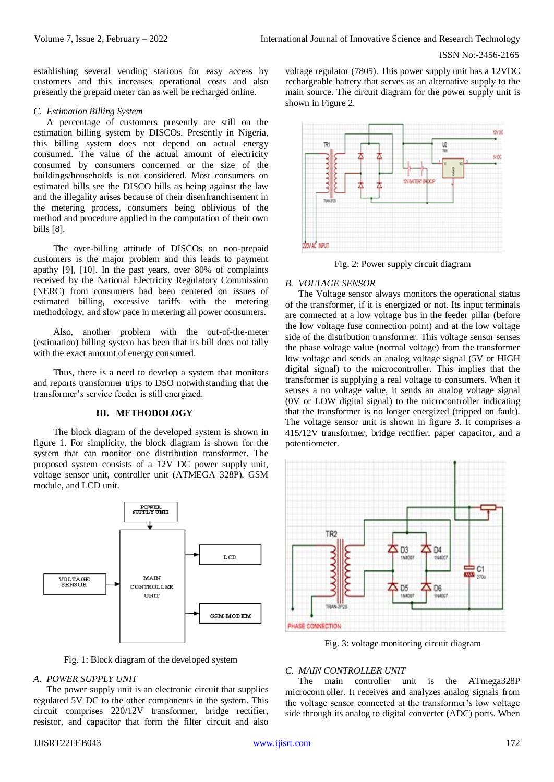establishing several vending stations for easy access by customers and this increases operational costs and also presently the prepaid meter can as well be recharged online.

#### *C. Estimation Billing System*

A percentage of customers presently are still on the estimation billing system by DISCOs. Presently in Nigeria, this billing system does not depend on actual energy consumed. The value of the actual amount of electricity consumed by consumers concerned or the size of the buildings/households is not considered. Most consumers on estimated bills see the DISCO bills as being against the law and the illegality arises because of their disenfranchisement in the metering process, consumers being oblivious of the method and procedure applied in the computation of their own bills [8].

The over-billing attitude of DISCOs on non-prepaid customers is the major problem and this leads to payment apathy [9], [10]. In the past years, over 80% of complaints received by the National Electricity Regulatory Commission (NERC) from consumers had been centered on issues of estimated billing, excessive tariffs with the metering methodology, and slow pace in metering all power consumers.

Also, another problem with the out-of-the-meter (estimation) billing system has been that its bill does not tally with the exact amount of energy consumed.

Thus, there is a need to develop a system that monitors and reports transformer trips to DSO notwithstanding that the transformer's service feeder is still energized.

#### **III. METHODOLOGY**

The block diagram of the developed system is shown in figure 1. For simplicity, the block diagram is shown for the system that can monitor one distribution transformer. The proposed system consists of a 12V DC power supply unit, voltage sensor unit, controller unit (ATMEGA 328P), GSM module, and LCD unit.



Fig. 1: Block diagram of the developed system

#### *A. POWER SUPPLY UNIT*

The power supply unit is an electronic circuit that supplies regulated 5V DC to the other components in the system. This circuit comprises 220/12V transformer, bridge rectifier, resistor, and capacitor that form the filter circuit and also

voltage regulator (7805). This power supply unit has a 12VDC rechargeable battery that serves as an alternative supply to the main source. The circuit diagram for the power supply unit is shown in Figure 2.



Fig. 2: Power supply circuit diagram

#### *B. VOLTAGE SENSOR*

The Voltage sensor always monitors the operational status of the transformer, if it is energized or not. Its input terminals are connected at a low voltage bus in the feeder pillar (before the low voltage fuse connection point) and at the low voltage side of the distribution transformer. This voltage sensor senses the phase voltage value (normal voltage) from the transformer low voltage and sends an analog voltage signal (5V or HIGH digital signal) to the microcontroller. This implies that the transformer is supplying a real voltage to consumers. When it senses a no voltage value, it sends an analog voltage signal (0V or LOW digital signal) to the microcontroller indicating that the transformer is no longer energized (tripped on fault). The voltage sensor unit is shown in figure 3. It comprises a 415/12V transformer, bridge rectifier, paper capacitor, and a potentiometer.



Fig. 3: voltage monitoring circuit diagram

#### *C. MAIN CONTROLLER UNIT*

The main controller unit is the ATmega328P microcontroller. It receives and analyzes analog signals from the voltage sensor connected at the transformer's low voltage side through its analog to digital converter (ADC) ports. When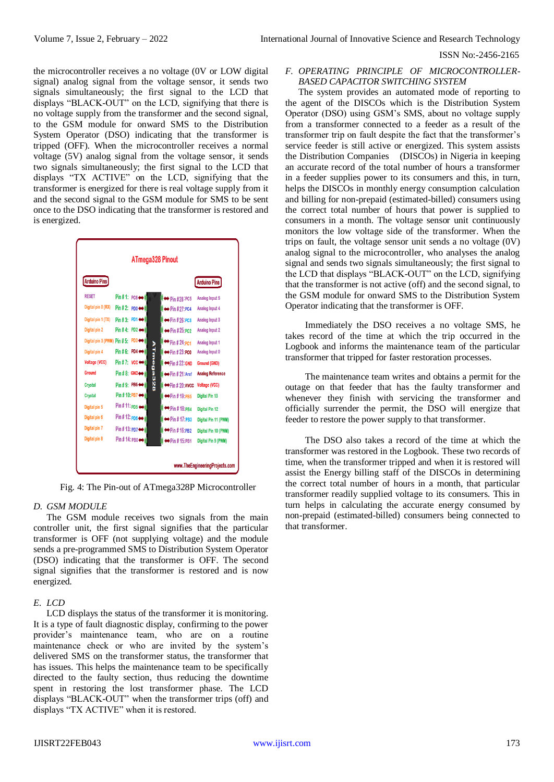ISSN No:-2456-2165

the microcontroller receives a no voltage (0V or LOW digital signal) analog signal from the voltage sensor, it sends two signals simultaneously; the first signal to the LCD that displays "BLACK-OUT" on the LCD, signifying that there is no voltage supply from the transformer and the second signal, to the GSM module for onward SMS to the Distribution System Operator (DSO) indicating that the transformer is tripped (OFF). When the microcontroller receives a normal voltage (5V) analog signal from the voltage sensor, it sends two signals simultaneously; the first signal to the LCD that displays "TX ACTIVE" on the LCD, signifying that the transformer is energized for there is real voltage supply from it and the second signal to the GSM module for SMS to be sent once to the DSO indicating that the transformer is restored and is energized.

| <b>Arduino Pins</b>                                            |                                   |           |                                  | <b>Arduino Pins</b>     |
|----------------------------------------------------------------|-----------------------------------|-----------|----------------------------------|-------------------------|
| <b>RESET</b>                                                   | Pin #1: $PC6 \leftrightarrow$     |           | $\leftrightarrow$ Pin #28:PC5    | Analog Input 5          |
| Digital pin 0 (RX)                                             | $Pin$ #2: PD0 $\leftrightarrow$   |           | $\leftrightarrow$ Pin #27:PC4    | Analog Input 4          |
| Digital pin 1 (TX)                                             | Pin # 3: PD1 ↔                    |           | $\leftrightarrow$ Pin # 26: PC3  | Analog Input 3          |
| Digital pin 2                                                  | Pin #4: PD2 $\leftrightarrow$     |           | $\leftrightarrow$ Pin #25: PC2   | Analog Input 2          |
| Digital pin 3 (PWM) $\text{Pin } \# 5$ : PD3 $\leftrightarrow$ |                                   |           | $\leftrightarrow$ Pin # 24: PC1  | Analog Input 1          |
| Digital pin 4                                                  | Pin #6: PD4 $\leftrightarrow$     |           | $\leftrightarrow$ Pin #23:PC0    | Analog Input 0          |
| <b>Voltage (VCC)</b>                                           | Pin #7: $vcc \leftrightarrow$     |           | $\leftrightarrow$ Pin #22:GND    | Ground (GND)            |
| Ground                                                         | $Pin # 8: GND \leftrightarrow$    | ATmega328 | $\leftrightarrow$ Pin # 21: Aref | <b>Analog Reference</b> |
| <b>Crystal</b>                                                 | Pin #9: PB6 $\leftrightarrow$     |           | $\leftrightarrow$ Pin # 20: AVCC | Voltage (VCC)           |
| <b>Crystal</b>                                                 | Pin # 10: PB7 ↔                   |           | $\leftrightarrow$ Pin # 19:PB5   | Digital Pin 13          |
| Digital pin 5                                                  | Pin #11: $p_{D5} \leftrightarrow$ |           | $\leftrightarrow$ Pin #18:PB4    | <b>Digital Pin 12</b>   |
| Digital pin 6                                                  | Pin #12: $PDB \leftrightarrow$    |           | $\leftrightarrow$ Pin # 17: PB3  | Digital Pin 11 (PWM)    |
| Digital pin 7                                                  | Pin # 13: PD7 ↔                   |           | $\leftrightarrow$ Pin #16:PB2    | Digital Pin 10 (PWM)    |
| Digital pin 8                                                  | Pin # 14: PB0 <                   |           | $\rightarrow$ Pin # 15:PB1       | Digital Pin 9 (PWM)     |

Fig. 4: The Pin-out of ATmega328P Microcontroller

# *D. GSM MODULE*

The GSM module receives two signals from the main controller unit, the first signal signifies that the particular transformer is OFF (not supplying voltage) and the module sends a pre-programmed SMS to Distribution System Operator (DSO) indicating that the transformer is OFF. The second signal signifies that the transformer is restored and is now energized.

# *E. LCD*

LCD displays the status of the transformer it is monitoring. It is a type of fault diagnostic display, confirming to the power provider's maintenance team, who are on a routine maintenance check or who are invited by the system's delivered SMS on the transformer status, the transformer that has issues. This helps the maintenance team to be specifically directed to the faulty section, thus reducing the downtime spent in restoring the lost transformer phase. The LCD displays "BLACK-OUT" when the transformer trips (off) and displays "TX ACTIVE" when it is restored.

# *F. OPERATING PRINCIPLE OF MICROCONTROLLER-BASED CAPACITOR SWITCHING SYSTEM*

The system provides an automated mode of reporting to the agent of the DISCOs which is the Distribution System Operator (DSO) using GSM's SMS, about no voltage supply from a transformer connected to a feeder as a result of the transformer trip on fault despite the fact that the transformer's service feeder is still active or energized. This system assists the Distribution Companies (DISCOs) in Nigeria in keeping an accurate record of the total number of hours a transformer in a feeder supplies power to its consumers and this, in turn, helps the DISCOs in monthly energy consumption calculation and billing for non-prepaid (estimated-billed) consumers using the correct total number of hours that power is supplied to consumers in a month. The voltage sensor unit continuously monitors the low voltage side of the transformer. When the trips on fault, the voltage sensor unit sends a no voltage (0V) analog signal to the microcontroller, who analyses the analog signal and sends two signals simultaneously; the first signal to the LCD that displays "BLACK-OUT" on the LCD, signifying that the transformer is not active (off) and the second signal, to the GSM module for onward SMS to the Distribution System Operator indicating that the transformer is OFF.

Immediately the DSO receives a no voltage SMS, he takes record of the time at which the trip occurred in the Logbook and informs the maintenance team of the particular transformer that tripped for faster restoration processes.

The maintenance team writes and obtains a permit for the outage on that feeder that has the faulty transformer and whenever they finish with servicing the transformer and officially surrender the permit, the DSO will energize that feeder to restore the power supply to that transformer.

The DSO also takes a record of the time at which the transformer was restored in the Logbook. These two records of time, when the transformer tripped and when it is restored will assist the Energy billing staff of the DISCOs in determining the correct total number of hours in a month, that particular transformer readily supplied voltage to its consumers. This in turn helps in calculating the accurate energy consumed by non-prepaid (estimated-billed) consumers being connected to that transformer.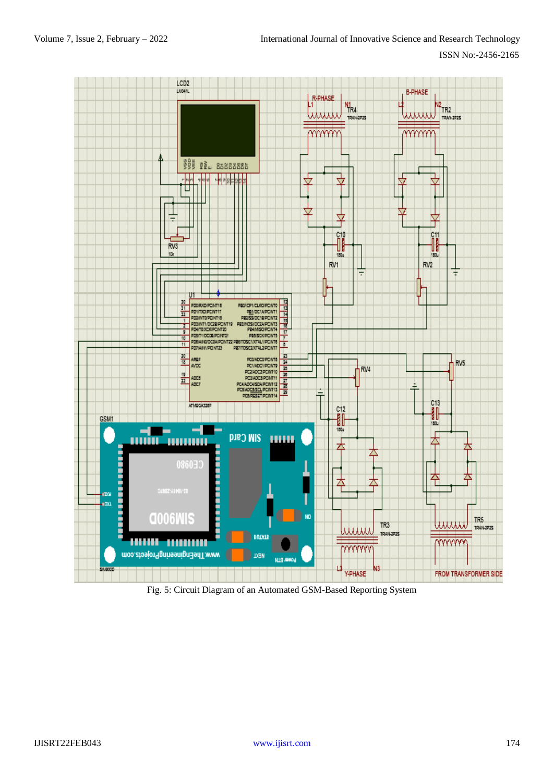

Fig. 5: Circuit Diagram of an Automated GSM-Based Reporting System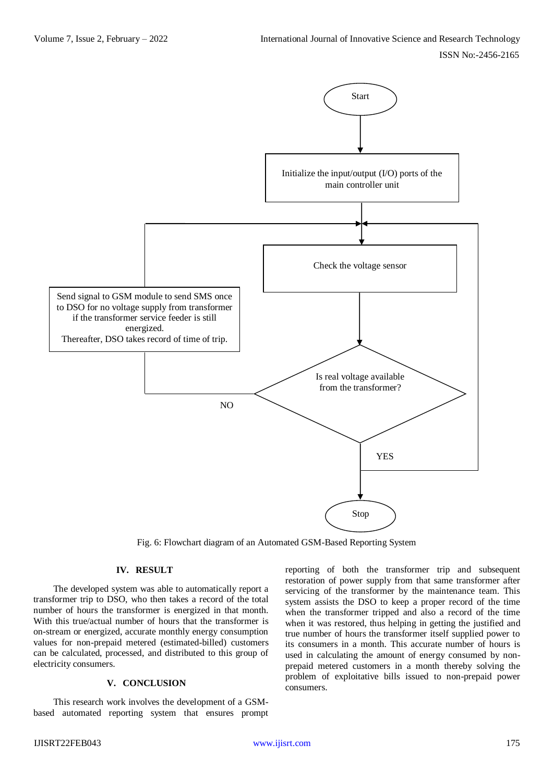

Fig. 6: Flowchart diagram of an Automated GSM-Based Reporting System

#### **IV. RESULT**

The developed system was able to automatically report a transformer trip to DSO, who then takes a record of the total number of hours the transformer is energized in that month. With this true/actual number of hours that the transformer is on-stream or energized, accurate monthly energy consumption values for non-prepaid metered (estimated-billed) customers can be calculated, processed, and distributed to this group of electricity consumers.

# **V. CONCLUSION**

This research work involves the development of a GSMbased automated reporting system that ensures prompt reporting of both the transformer trip and subsequent restoration of power supply from that same transformer after servicing of the transformer by the maintenance team. This system assists the DSO to keep a proper record of the time when the transformer tripped and also a record of the time when it was restored, thus helping in getting the justified and true number of hours the transformer itself supplied power to its consumers in a month. This accurate number of hours is used in calculating the amount of energy consumed by nonprepaid metered customers in a month thereby solving the problem of exploitative bills issued to non-prepaid power consumers.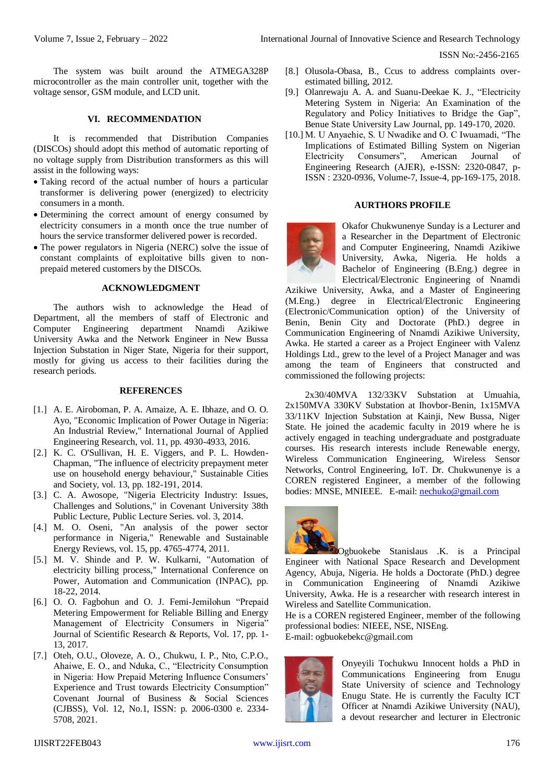ISSN No:-2456-2165

The system was built around the ATMEGA328P microcontroller as the main controller unit, together with the voltage sensor, GSM module, and LCD unit.

### **VI. RECOMMENDATION**

It is recommended that Distribution Companies (DISCOs) should adopt this method of automatic reporting of no voltage supply from Distribution transformers as this will assist in the following ways:

- Taking record of the actual number of hours a particular transformer is delivering power (energized) to electricity consumers in a month.
- Determining the correct amount of energy consumed by electricity consumers in a month once the true number of hours the service transformer delivered power is recorded.
- The power regulators in Nigeria (NERC) solve the issue of constant complaints of exploitative bills given to nonprepaid metered customers by the DISCOs.

#### **ACKNOWLEDGMENT**

The authors wish to acknowledge the Head of Department, all the members of staff of Electronic and Computer Engineering department Nnamdi Azikiwe University Awka and the Network Engineer in New Bussa Injection Substation in Niger State, Nigeria for their support, mostly for giving us access to their facilities during the research periods.

#### **REFERENCES**

- [1.] A. E. Airoboman, P. A. Amaize, A. E. Ibhaze, and O. O. Ayo, "Economic Implication of Power Outage in Nigeria: An Industrial Review," International Journal of Applied Engineering Research, vol. 11, pp. 4930-4933, 2016.
- [2.] K. C. O'Sullivan, H. E. Viggers, and P. L. Howden-Chapman, "The influence of electricity prepayment meter use on household energy behaviour," Sustainable Cities and Society, vol. 13, pp. 182-191, 2014.
- [3.] C. A. Awosope, "Nigeria Electricity Industry: Issues, Challenges and Solutions," in Covenant University 38th Public Lecture, Public Lecture Series. vol. 3, 2014.
- [4.] M. O. Oseni, "An analysis of the power sector performance in Nigeria," Renewable and Sustainable Energy Reviews, vol. 15, pp. 4765-4774, 2011.
- [5.] M. V. Shinde and P. W. Kulkarni, "Automation of electricity billing process," International Conference on Power, Automation and Communication (INPAC), pp. 18-22, 2014.
- [6.] O. O. Fagbohun and O. J. Femi-Jemilohun "Prepaid Metering Empowerment for Reliable Billing and Energy Management of Electricity Consumers in Nigeria" Journal of Scientific Research & Reports, Vol. 17, pp. 1- 13, 2017.
- [7.] Oteh, O.U., Oloveze, A. O., Chukwu, I. P., Nto, C.P.O., Ahaiwe, E. O., and Nduka, C., "Electricity Consumption in Nigeria: How Prepaid Metering Influence Consumers' Experience and Trust towards Electricity Consumption" Covenant Journal of Business & Social Sciences (CJBSS), Vol. 12, No.1, ISSN: p. 2006-0300 e. 2334- 5708, 2021.
- [8.] Olusola-Obasa, B., Ccus to address complaints overestimated billing, 2012.
- [9.] Olanrewaju A. A. and Suanu-Deekae K. J., "Electricity Metering System in Nigeria: An Examination of the Regulatory and Policy Initiatives to Bridge the Gap", Benue State University Law Journal, pp. 149-170, 2020.
- [10.] M. U Anyaehie, S. U Nwadike and O. C Iwuamadi, "The Implications of Estimated Billing System on Nigerian Electricity Consumers", American Journal of Engineering Research (AJER), e-ISSN: 2320-0847, p-ISSN : 2320-0936, Volume-7, Issue-4, pp-169-175, 2018.

#### **AURTHORS PROFILE**

Okafor Chukwunenye Sunday is a Lecturer and a Researcher in the Department of Electronic and Computer Engineering, Nnamdi Azikiwe University, Awka, Nigeria. He holds a Bachelor of Engineering (B.Eng.) degree in Electrical/Electronic Engineering of Nnamdi

Azikiwe University, Awka, and a Master of Engineering (M.Eng.) degree in Electrical/Electronic Engineering (Electronic/Communication option) of the University of Benin, Benin City and Doctorate (PhD.) degree in Communication Engineering of Nnamdi Azikiwe University, Awka. He started a career as a Project Engineer with Valenz Holdings Ltd., grew to the level of a Project Manager and was among the team of Engineers that constructed and commissioned the following projects:

2x30/40MVA 132/33KV Substation at Umuahia, 2x150MVA 330KV Substation at Ihovbor-Benin, 1x15MVA 33/11KV Injection Substation at Kainji, New Bussa, Niger State. He joined the academic faculty in 2019 where he is actively engaged in teaching undergraduate and postgraduate courses. His research interests include Renewable energy, Wireless Communication Engineering, Wireless Sensor Networks, Control Engineering, IoT. Dr. Chukwunenye is a COREN registered Engineer, a member of the following bodies: MNSE, MNIEEE. E-mail: [nechuko@gmail.com](mailto:nechuko@gmail.com)



Ogbuokebe Stanislaus .K. is a Principal Engineer with National Space Research and Development Agency, Abuja, Nigeria. He holds a Doctorate (PhD.) degree in Communication Engineering of Nnamdi Azikiwe University, Awka. He is a researcher with research interest in Wireless and Satellite Communication.

He is a COREN registered Engineer, member of the following professional bodies: NIEEE, NSE, NISEng.

E-mail: ogbuokebekc@gmail.com



Onyeyili Tochukwu Innocent holds a PhD in Communications Engineering from Enugu State University of science and Technology Enugu State. He is currently the Faculty ICT Officer at Nnamdi Azikiwe University (NAU), a devout researcher and lecturer in Electronic